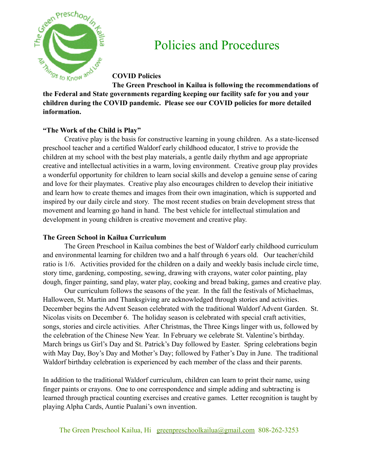

# Policies and Procedures

**COVID Policies**

**The Green Preschool in Kailua is following the recommendations of the Federal and State governments regarding keeping our facility safe for you and your children during the COVID pandemic. Please see our COVID policies for more detailed information.**

# **"The Work of the Child is Play"**

Creative play is the basis for constructive learning in young children. As a state-licensed preschool teacher and a certified Waldorf early childhood educator, I strive to provide the children at my school with the best play materials, a gentle daily rhythm and age appropriate creative and intellectual activities in a warm, loving environment. Creative group play provides a wonderful opportunity for children to learn social skills and develop a genuine sense of caring and love for their playmates. Creative play also encourages children to develop their initiative and learn how to create themes and images from their own imagination, which is supported and inspired by our daily circle and story. The most recent studies on brain development stress that movement and learning go hand in hand. The best vehicle for intellectual stimulation and development in young children is creative movement and creative play.

# **The Green School in Kailua Curriculum**

The Green Preschool in Kailua combines the best of Waldorf early childhood curriculum and environmental learning for children two and a half through 6 years old. Our teacher/child ratio is 1/6. Activities provided for the children on a daily and weekly basis include circle time, story time, gardening, composting, sewing, drawing with crayons, water color painting, play dough, finger painting, sand play, water play, cooking and bread baking, games and creative play.

Our curriculum follows the seasons of the year. In the fall the festivals of Michaelmas, Halloween, St. Martin and Thanksgiving are acknowledged through stories and activities. December begins the Advent Season celebrated with the traditional Waldorf Advent Garden. St. Nicolas visits on December 6. The holiday season is celebrated with special craft activities, songs, stories and circle activities. After Christmas, the Three Kings linger with us, followed by the celebration of the Chinese New Year. In February we celebrate St. Valentine's birthday. March brings us Girl's Day and St. Patrick's Day followed by Easter. Spring celebrations begin with May Day, Boy's Day and Mother's Day; followed by Father's Day in June. The traditional Waldorf birthday celebration is experienced by each member of the class and their parents.

In addition to the traditional Waldorf curriculum, children can learn to print their name, using finger paints or crayons. One to one correspondence and simple adding and subtracting is learned through practical counting exercises and creative games. Letter recognition is taught by playing Alpha Cards, Auntie Pualani's own invention.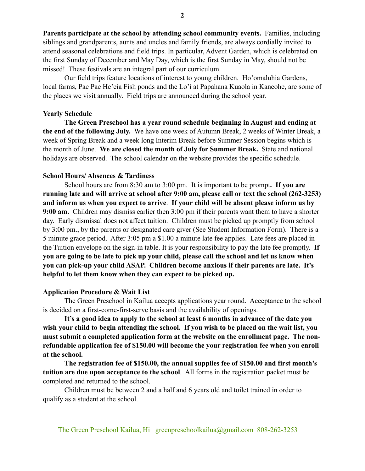**Parents participate at the school by attending school community events.** Families, including siblings and grandparents, aunts and uncles and family friends, are always cordially invited to attend seasonal celebrations and field trips. In particular, Advent Garden, which is celebrated on the first Sunday of December and May Day, which is the first Sunday in May, should not be missed! These festivals are an integral part of our curriculum.

Our field trips feature locations of interest to young children. Ho'omaluhia Gardens, local farms, Pae Pae He'eia Fish ponds and the Lo'i at Papahana Kuaola in Kaneohe, are some of the places we visit annually. Field trips are announced during the school year.

#### **Yearly Schedule**

**The Green Preschool has a year round schedule beginning in August and ending at the end of the following July.** We have one week of Autumn Break, 2 weeks of Winter Break, a week of Spring Break and a week long Interim Break before Summer Session begins which is the month of June. **We are closed the month of July for Summer Break.** State and national holidays are observed. The school calendar on the website provides the specific schedule.

# **School Hours/ Absences & Tardiness**

School hours are from 8:30 am to 3:00 pm. It is important to be prompt**. If you are running late and will arrive at school after 9:00 am, please call or text the school (262-3253) and inform us when you expect to arrive**. **If your child will be absent please inform us by 9:00 am.** Children may dismiss earlier then 3:00 pm if their parents want them to have a shorter day. Early dismissal does not affect tuition. Children must be picked up promptly from school by 3:00 pm., by the parents or designated care giver (See Student Information Form). There is a 5 minute grace period. After 3:05 pm a \$1.00 a minute late fee applies. Late fees are placed in the Tuition envelope on the sign-in table. It is your responsibility to pay the late fee promptly. **If you are going to be late to pick up your child, please call the school and let us know when you can pick-up your child ASAP. Children become anxious if their parents are late. It's helpful to let them know when they can expect to be picked up.**

# **Application Procedure & Wait List**

The Green Preschool in Kailua accepts applications year round. Acceptance to the school is decided on a first-come-first-serve basis and the availability of openings.

**It's a good idea to apply to the school at least 6 months in advance of the date you wish your child to begin attending the school. If you wish to be placed on the wait list, you must submit a completed application form at the website on the enrollment page. The nonrefundable application fee of \$150.00 will become the your registration fee when you enroll at the school.**

**The registration fee of \$150.00, the annual supplies fee of \$150.00 and first month's tuition are due upon acceptance to the school**. All forms in the registration packet must be completed and returned to the school.

Children must be between 2 and a half and 6 years old and toilet trained in order to qualify as a student at the school.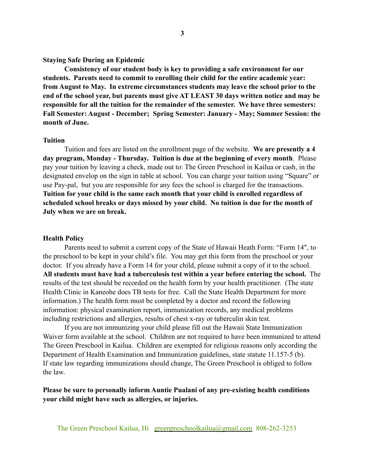# **Staying Safe During an Epidemic**

**Consistency of our student body is key to providing a safe environment for our students. Parents need to commit to enrolling their child for the entire academic year: from August to May. In extreme circumstances students may leave the school prior to the end of the school year, but parents must give AT LEAST 30 days written notice and may be responsible for all the tuition for the remainder of the semester. We have three semesters: Fall Semester: August - December; Spring Semester: January - May; Summer Session: the month of June.**

#### **Tuition**

Tuition and fees are listed on the enrollment page of the website. **We are presently a 4 day program, Monday - Thursday. Tuition is due at the beginning of every month**. Please pay your tuition by leaving a check, made out to: The Green Preschool in Kailua or cash, in the designated envelop on the sign in table at school. You can charge your tuition using "Square" or use Pay-pal, but you are responsible for any fees the school is charged for the transactions. **Tuition for your child is the same each month that your child is enrolled regardless of scheduled school breaks or days missed by your child. No tuition is due for the month of July when we are on break.**

#### **Health Policy**

Parents need to submit a current copy of the State of Hawaii Heath Form: "Form 14", to the preschool to be kept in your child's file. You may get this form from the preschool or your doctor. If you already have a Form 14 for your child, please submit a copy of it to the school. **All students must have had a tuberculosis test within a year before entering the school.** The results of the test should be recorded on the health form by your health practitioner. (The state Health Clinic in Kaneohe does TB tests for free. Call the State Health Department for more information.) The health form must be completed by a doctor and record the following information: physical examination report, immunization records, any medical problems including restrictions and allergies, results of chest x-ray or tuberculin skin test.

If you are not immunizing your child please fill out the Hawaii State Immunization Waiver form available at the school. Children are not required to have been immunized to attend The Green Preschool in Kailua. Children are exempted for religious reasons only according the Department of Health Examination and Immunization guidelines, state statute 11.157-5 (b). If state law regarding immunizations should change, The Green Preschool is obliged to follow the law.

# **Please be sure to personally inform Auntie Pualani of any pre-existing health conditions your child might have such as allergies, or injuries.**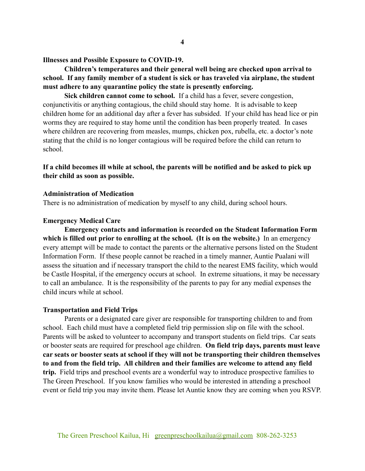#### **Illnesses and Possible Exposure to COVID-19.**

# **Children's temperatures and their general well being are checked upon arrival to school. If any family member of a student is sick or has traveled via airplane, the student must adhere to any quarantine policy the state is presently enforcing.**

**Sick children cannot come to school.** If a child has a fever, severe congestion, conjunctivitis or anything contagious, the child should stay home. It is advisable to keep children home for an additional day after a fever has subsided. If your child has head lice or pin worms they are required to stay home until the condition has been properly treated. In cases where children are recovering from measles, mumps, chicken pox, rubella, etc. a doctor's note stating that the child is no longer contagious will be required before the child can return to school.

# **If a child becomes ill while at school, the parents will be notified and be asked to pick up their child as soon as possible.**

# **Administration of Medication**

There is no administration of medication by myself to any child, during school hours.

# **Emergency Medical Care**

**Emergency contacts and information is recorded on the Student Information Form which is filled out prior to enrolling at the school. (It is on the website.)** In an emergency every attempt will be made to contact the parents or the alternative persons listed on the Student Information Form. If these people cannot be reached in a timely manner, Auntie Pualani will assess the situation and if necessary transport the child to the nearest EMS facility, which would be Castle Hospital, if the emergency occurs at school. In extreme situations, it may be necessary to call an ambulance. It is the responsibility of the parents to pay for any medial expenses the child incurs while at school.

#### **Transportation and Field Trips**

Parents or a designated care giver are responsible for transporting children to and from school. Each child must have a completed field trip permission slip on file with the school. Parents will be asked to volunteer to accompany and transport students on field trips. Car seats or booster seats are required for preschool age children. **On field trip days, parents must leave car seats or booster seats at school if they will not be transporting their children themselves to and from the field trip. All children and their families are welcome to attend any field trip.** Field trips and preschool events are a wonderful way to introduce prospective families to The Green Preschool. If you know families who would be interested in attending a preschool event or field trip you may invite them. Please let Auntie know they are coming when you RSVP.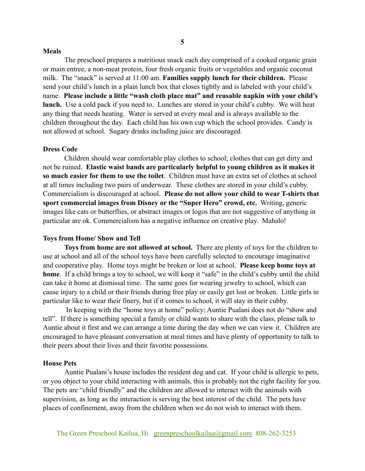#### **Meals**

The preschool prepares a nutritious snack each day comprised of a cooked organic grain or main entree, a non-meat protein, four fresh organic fruits or vegetables and organic coconut milk. The "snack" is served at 11:00 am. **Families supply lunch for their children.** Please send your child's lunch in a plain lunch box that closes tightly and is labeled with your child's name. **Please include a little "wash cloth place mat" and reusable napkin with your child's lunch.** Use a cold pack if you need to. Lunches are stored in your child's cubby. We will heat any thing that needs heating. Water is served at every meal and is always available to the children throughout the day. Each child has his own cup which the school provides. Candy is not allowed at school. Sugary drinks including juice are discouraged.

## **Dress Code**

Children should wear comfortable play clothes to school; clothes that can get dirty and not be ruined. **Elastic waist bands are particularly helpful to young children as it makes it so much easier for them to use the toilet**. Children must have an extra set of clothes at school at all times including two pairs of underwear. These clothes are stored in your child's cubby. Commercialism is discouraged at school. **Please do not allow your child to wear T-shirts that sport commercial images from Disney or the "Super Hero" crowd, etc.** Writing, generic images like cats or butterflies, or abstract images or logos that are not suggestive of anything in particular are ok. Commercialism has a negative influence on creative play. Mahalo!

# **Toys from Home/ Show and Tell**

**Toys from home are not allowed at school.** There are plenty of toys for the children to use at school and all of the school toys have been carefully selected to encourage imaginative and cooperative play. Home toys might be broken or lost at school. **Please keep home toys at home**. If a child brings a toy to school, we will keep it "safe" in the child's cubby until the child can take it home at dismissal time. The same goes for wearing jewelry to school, which can cause injury to a child or their friends during free play or easily get lost or broken. Little girls in particular like to wear their finery, but if it comes to school, it will stay in their cubby.

 In keeping with the "home toys at home" policy; Auntie Pualani does not do "show and tell". If there is something special a family or child wants to share with the class, please talk to Auntie about it first and we can arrange a time during the day when we can view it. Children are encouraged to have pleasant conversation at meal times and have plenty of opportunity to talk to their peers about their lives and their favorite possessions.

#### **House Pets**

Auntie Pualani's house includes the resident dog and cat. If your child is allergic to pets, or you object to your child interacting with animals, this is probably not the right facility for you. The pets are "child friendly" and the children are allowed to interact with the animals with supervision, as long as the interaction is serving the best interest of the child. The pets have places of confinement, away from the children when we do not wish to interact with them.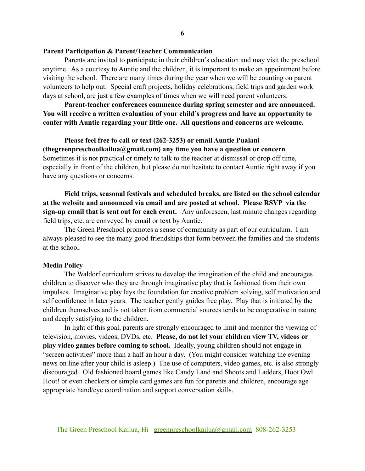## **Parent Participation & Parent/Teacher Communication**

Parents are invited to participate in their children's education and may visit the preschool anytime. As a courtesy to Auntie and the children, it is important to make an appointment before visiting the school. There are many times during the year when we will be counting on parent volunteers to help out. Special craft projects, holiday celebrations, field trips and garden work days at school, are just a few examples of times when we will need parent volunteers.

**Parent-teacher conferences commence during spring semester and are announced. You will receive a written evaluation of your child's progress and have an opportunity to confer with Auntie regarding your little one. All questions and concerns are welcome.**

**Please feel free to call or text (262-3253) or email Auntie Pualani (thegreenpreschoolkailua@gmail.com) any time you have a question or concern**. Sometimes it is not practical or timely to talk to the teacher at dismissal or drop off time, especially in front of the children, but please do not hesitate to contact Auntie right away if you have any questions or concerns.

**Field trips, seasonal festivals and scheduled breaks, are listed on the school calendar at the website and announced via email and are posted at school. Please RSVP via the sign-up email that is sent out for each event.** Any unforeseen, last minute changes regarding field trips, etc. are conveyed by email or text by Auntie.

The Green Preschool promotes a sense of community as part of our curriculum. I am always pleased to see the many good friendships that form between the families and the students at the school.

#### **Media Policy**

The Waldorf curriculum strives to develop the imagination of the child and encourages children to discover who they are through imaginative play that is fashioned from their own impulses. Imaginative play lays the foundation for creative problem solving, self motivation and self confidence in later years. The teacher gently guides free play. Play that is initiated by the children themselves and is not taken from commercial sources tends to be cooperative in nature and deeply satisfying to the children.

In light of this goal, parents are strongly encouraged to limit and monitor the viewing of television, movies, videos, DVDs, etc. **Please, do not let your children view TV, videos or play video games before coming to school.** Ideally, young children should not engage in "screen activities" more than a half an hour a day. (You might consider watching the evening news on line after your child is asleep.) The use of computers, video games, etc. is also strongly discouraged. Old fashioned board games like Candy Land and Shoots and Ladders, Hoot Owl Hoot! or even checkers or simple card games are fun for parents and children, encourage age appropriate hand/eye coordination and support conversation skills.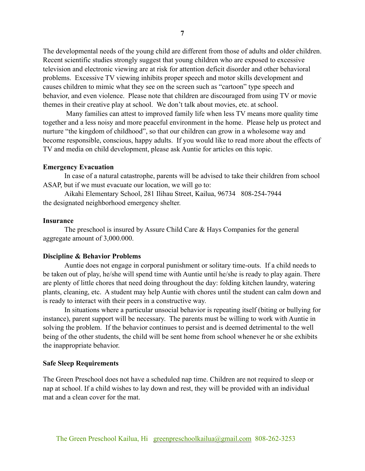The developmental needs of the young child are different from those of adults and older children. Recent scientific studies strongly suggest that young children who are exposed to excessive television and electronic viewing are at risk for attention deficit disorder and other behavioral problems. Excessive TV viewing inhibits proper speech and motor skills development and causes children to mimic what they see on the screen such as "cartoon" type speech and behavior, and even violence. Please note that children are discouraged from using TV or movie themes in their creative play at school. We don't talk about movies, etc. at school.

 Many families can attest to improved family life when less TV means more quality time together and a less noisy and more peaceful environment in the home. Please help us protect and nurture "the kingdom of childhood", so that our children can grow in a wholesome way and become responsible, conscious, happy adults. If you would like to read more about the effects of TV and media on child development, please ask Auntie for articles on this topic.

## **Emergency Evacuation**

In case of a natural catastrophe, parents will be advised to take their children from school ASAP, but if we must evacuate our location, we will go to:

Aikahi Elementary School, 281 Ilihau Street, Kailua, 96734 808-254-7944 the designated neighborhood emergency shelter.

### **Insurance**

The preschool is insured by Assure Child Care & Hays Companies for the general aggregate amount of 3,000.000.

# **Discipline & Behavior Problems**

Auntie does not engage in corporal punishment or solitary time-outs. If a child needs to be taken out of play, he/she will spend time with Auntie until he/she is ready to play again. There are plenty of little chores that need doing throughout the day: folding kitchen laundry, watering plants, cleaning, etc. A student may help Auntie with chores until the student can calm down and is ready to interact with their peers in a constructive way.

In situations where a particular unsocial behavior is repeating itself (biting or bullying for instance), parent support will be necessary. The parents must be willing to work with Auntie in solving the problem. If the behavior continues to persist and is deemed detrimental to the well being of the other students, the child will be sent home from school whenever he or she exhibits the inappropriate behavior.

#### **Safe Sleep Requirements**

The Green Preschool does not have a scheduled nap time. Children are not required to sleep or nap at school. If a child wishes to lay down and rest, they will be provided with an individual mat and a clean cover for the mat.